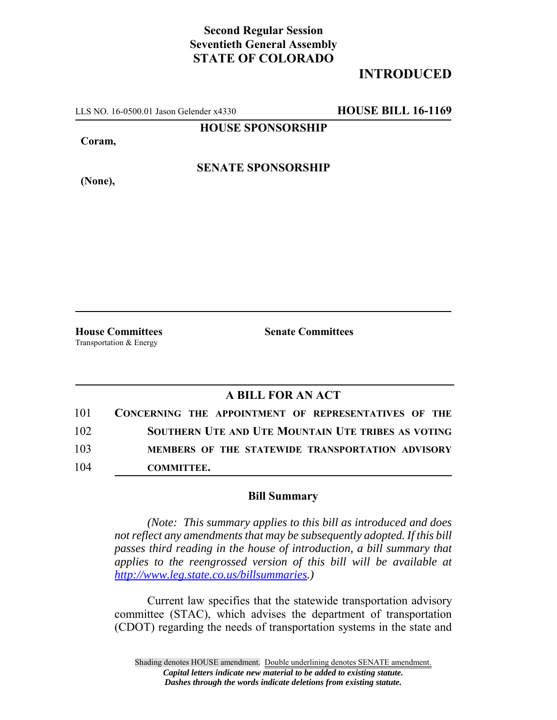## **Second Regular Session Seventieth General Assembly STATE OF COLORADO**

## **INTRODUCED**

LLS NO. 16-0500.01 Jason Gelender x4330 **HOUSE BILL 16-1169**

**HOUSE SPONSORSHIP**

**Coram,**

**(None),**

**SENATE SPONSORSHIP**

Transportation & Energy

**House Committees Senate Committees**

## **A BILL FOR AN ACT**

| 101 | CONCERNING THE APPOINTMENT OF REPRESENTATIVES OF THE |
|-----|------------------------------------------------------|
| 102 | SOUTHERN UTE AND UTE MOUNTAIN UTE TRIBES AS VOTING   |
| 103 | MEMBERS OF THE STATEWIDE TRANSPORTATION ADVISORY     |
| 104 | <b>COMMITTEE.</b>                                    |

## **Bill Summary**

*(Note: This summary applies to this bill as introduced and does not reflect any amendments that may be subsequently adopted. If this bill passes third reading in the house of introduction, a bill summary that applies to the reengrossed version of this bill will be available at http://www.leg.state.co.us/billsummaries.)*

Current law specifies that the statewide transportation advisory committee (STAC), which advises the department of transportation (CDOT) regarding the needs of transportation systems in the state and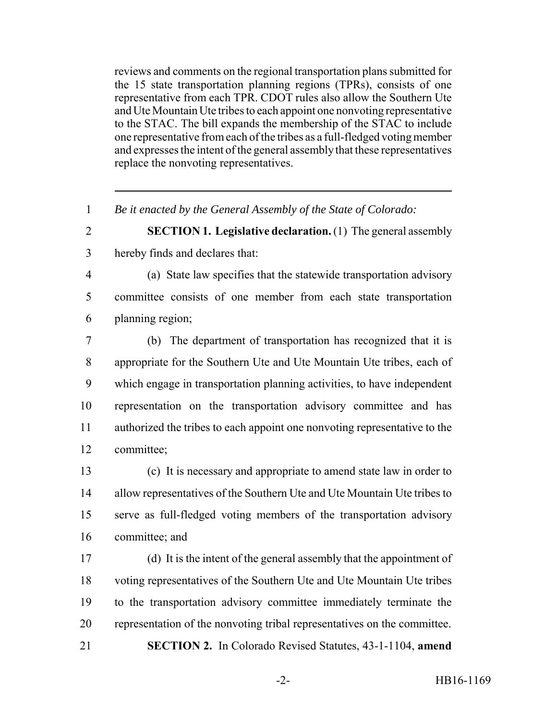reviews and comments on the regional transportation plans submitted for the 15 state transportation planning regions (TPRs), consists of one representative from each TPR. CDOT rules also allow the Southern Ute and Ute Mountain Ute tribes to each appoint one nonvoting representative to the STAC. The bill expands the membership of the STAC to include one representative from each of the tribes as a full-fledged voting member and expresses the intent of the general assembly that these representatives replace the nonvoting representatives.

*Be it enacted by the General Assembly of the State of Colorado:*

- **SECTION 1. Legislative declaration.** (1) The general assembly hereby finds and declares that:
- (a) State law specifies that the statewide transportation advisory committee consists of one member from each state transportation planning region;

 (b) The department of transportation has recognized that it is appropriate for the Southern Ute and Ute Mountain Ute tribes, each of which engage in transportation planning activities, to have independent representation on the transportation advisory committee and has authorized the tribes to each appoint one nonvoting representative to the committee;

 (c) It is necessary and appropriate to amend state law in order to allow representatives of the Southern Ute and Ute Mountain Ute tribes to serve as full-fledged voting members of the transportation advisory committee; and

 (d) It is the intent of the general assembly that the appointment of voting representatives of the Southern Ute and Ute Mountain Ute tribes to the transportation advisory committee immediately terminate the representation of the nonvoting tribal representatives on the committee. **SECTION 2.** In Colorado Revised Statutes, 43-1-1104, **amend**